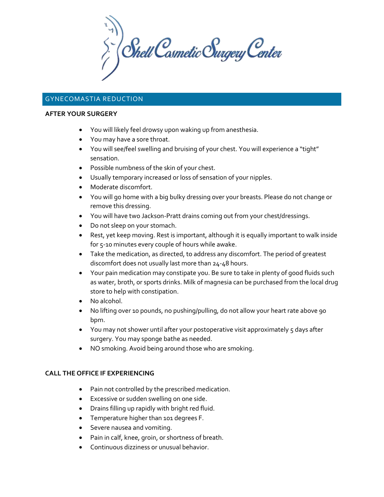$\sum_{i}^{n}$  Shell Cosmetic Surgery Center

# GYNECOMASTIA REDUCTION

#### **AFTER YOUR SURGERY**

- You will likely feel drowsy upon waking up from anesthesia.
- You may have a sore throat.
- You will see/feel swelling and bruising of your chest. You will experience a "tight" sensation.
- Possible numbness of the skin of your chest.
- Usually temporary increased or loss of sensation of your nipples.
- Moderate discomfort.
- You will go home with a big bulky dressing over your breasts. Please do not change or remove this dressing.
- You will have two Jackson-Pratt drains coming out from your chest/dressings.
- Do not sleep on your stomach.
- Rest, yet keep moving. Rest is important, although it is equally important to walk inside for 5-10 minutes every couple of hours while awake.
- Take the medication, as directed, to address any discomfort. The period of greatest discomfort does not usually last more than 24-48 hours.
- Your pain medication may constipate you. Be sure to take in plenty of good fluids such as water, broth, or sports drinks. Milk of magnesia can be purchased from the local drug store to help with constipation.
- No alcohol.
- No lifting over 10 pounds, no pushing/pulling, do not allow your heart rate above 90 bpm.
- You may not shower until after your postoperative visit approximately 5 days after surgery. You may sponge bathe as needed.
- NO smoking. Avoid being around those who are smoking.

## **CALL THE OFFICE IF EXPERIENCING**

- Pain not controlled by the prescribed medication.
- Excessive or sudden swelling on one side.
- Drains filling up rapidly with bright red fluid.
- Temperature higher than 101 degrees F.
- Severe nausea and vomiting.
- Pain in calf, knee, groin, or shortness of breath.
- Continuous dizziness or unusual behavior.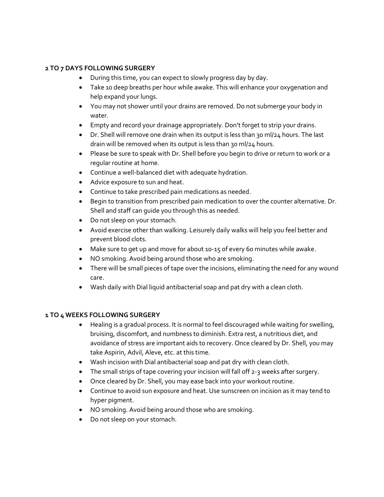## **2 TO 7 DAYS FOLLOWING SURGERY**

- During this time, you can expect to slowly progress day by day.
- Take 10 deep breaths per hour while awake. This will enhance your oxygenation and help expand your lungs.
- You may not shower until your drains are removed. Do not submerge your body in water.
- Empty and record your drainage appropriately. Don't forget to strip your drains.
- Dr. Shell will remove one drain when its output is less than 30 ml/24 hours. The last drain will be removed when its output is less than 30 ml/24 hours.
- Please be sure to speak with Dr. Shell before you begin to drive or return to work or a regular routine at home.
- Continue a well-balanced diet with adequate hydration.
- Advice exposure to sun and heat.
- Continue to take prescribed pain medications as needed.
- Begin to transition from prescribed pain medication to over the counter alternative. Dr. Shell and staff can guide you through this as needed.
- Do not sleep on your stomach.
- Avoid exercise other than walking. Leisurely daily walks will help you feel better and prevent blood clots.
- Make sure to get up and move for about 10-15 of every 60 minutes while awake.
- NO smoking. Avoid being around those who are smoking.
- There will be small pieces of tape over the incisions, eliminating the need for any wound care.
- Wash daily with Dial liquid antibacterial soap and pat dry with a clean cloth.

## **1 TO 4 WEEKS FOLLOWING SURGERY**

- Healing is a gradual process. It is normal to feel discouraged while waiting for swelling, bruising, discomfort, and numbness to diminish. Extra rest, a nutritious diet, and avoidance of stress are important aids to recovery. Once cleared by Dr. Shell, you may take Aspirin, Advil, Aleve, etc. at this time.
- Wash incision with Dial antibacterial soap and pat dry with clean cloth.
- The small strips of tape covering your incision will fall off 2-3 weeks after surgery.
- Once cleared by Dr. Shell, you may ease back into your workout routine.
- Continue to avoid sun exposure and heat. Use sunscreen on incision as it may tend to hyper pigment.
- NO smoking. Avoid being around those who are smoking.
- Do not sleep on your stomach.